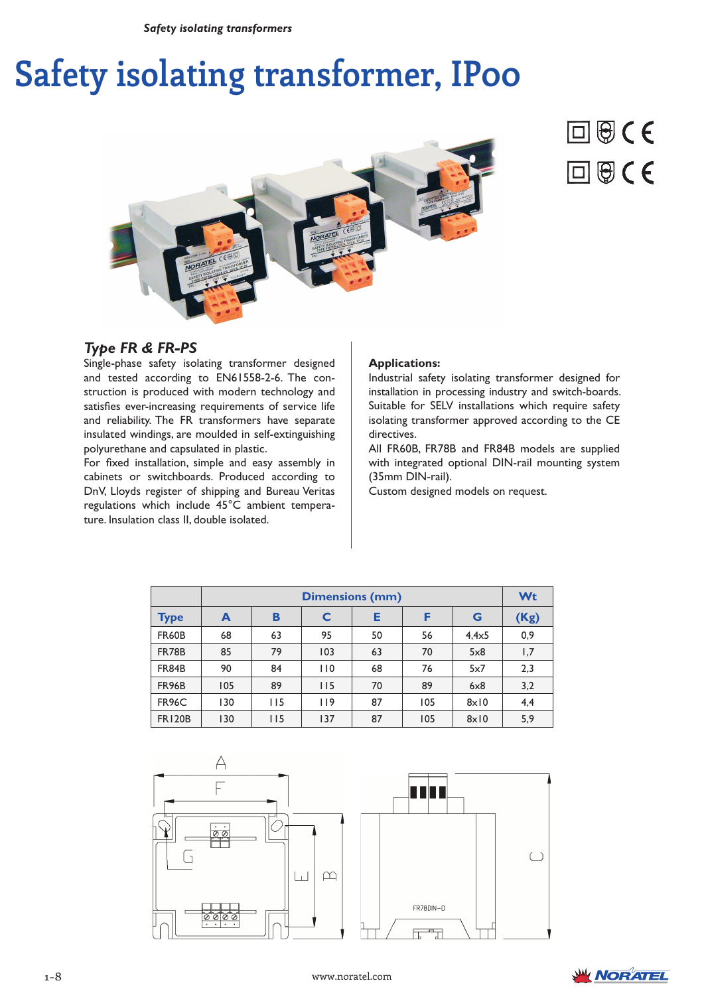# **Safety isolating transformer, IP00**





# *Type FR & FR-PS*

Single-phase safety isolating transformer designed and tested according to EN61558-2-6. The construction is produced with modern technology and satisfies ever-increasing requirements of service life and reliability. The FR transformers have separate insulated windings, are moulded in self-extinguishing polyurethane and capsulated in plastic.

For fixed installation, simple and easy assembly in cabinets or switchboards. Produced according to DnV, Lloyds register of shipping and Bureau Veritas regulations which include 45°C ambient temperature. Insulation class II, double isolated.

#### **Applications:**

Industrial safety isolating transformer designed for installation in processing industry and switch-boards. Suitable for SELV installations which require safety isolating transformer approved according to the CE directives.

All FR60B, FR78B and FR84B models are supplied with integrated optional DIN-rail mounting system (35mm DIN-rail).

Custom designed models on request.

|               | <b>Dimensions (mm)</b> |     |     |    |     |               | Wt   |
|---------------|------------------------|-----|-----|----|-----|---------------|------|
| <b>Type</b>   | A                      | B   | C   | Е  | F   | G             | (Kg) |
| <b>FR60B</b>  | 68                     | 63  | 95  | 50 | 56  | $4.4\times 5$ | 0,9  |
| <b>FR78B</b>  | 85                     | 79  | 103 | 63 | 70  | 5x8           | 1,7  |
| FR84B         | 90                     | 84  | 110 | 68 | 76  | 5x7           | 2,3  |
| <b>FR96B</b>  | 105                    | 89  | 115 | 70 | 89  | 6x8           | 3,2  |
| <b>FR96C</b>  | 130                    | 115 | 119 | 87 | 105 | $8 \times 10$ | 4,4  |
| <b>FR120B</b> | 130                    | 115 | 137 | 87 | 105 | $8 \times 10$ | 5,9  |